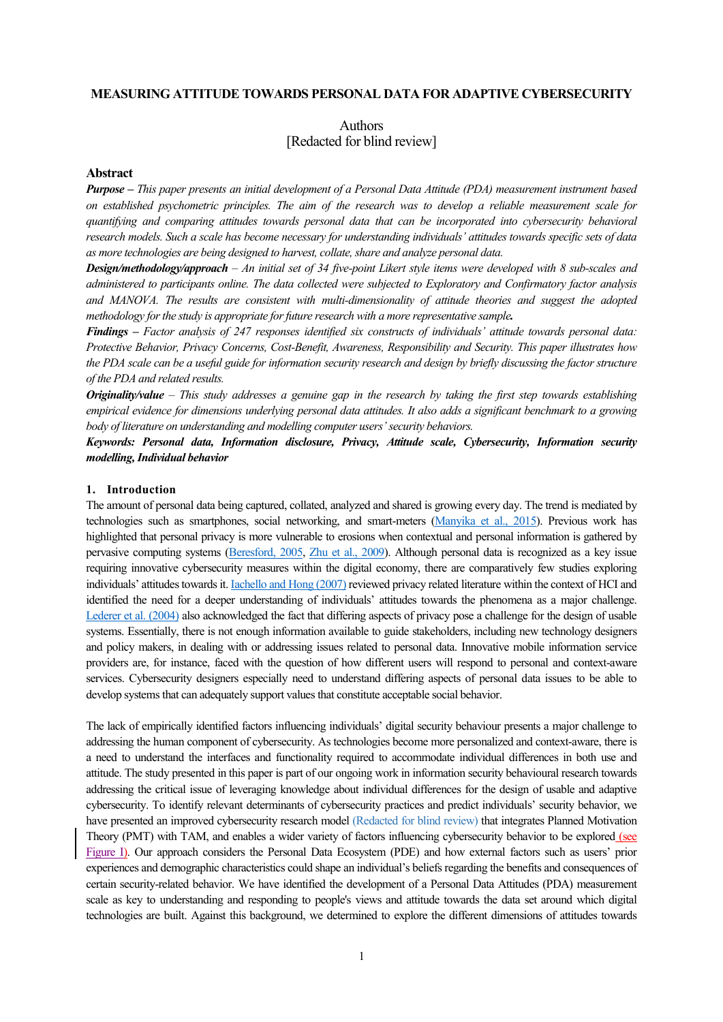### **MEASURING ATTITUDE TOWARDS PERSONAL DATA FOR ADAPTIVE CYBERSECURITY**

# Authors [Redacted for blind review]

### **Abstract**

*Purpose – This paper presents an initial development of a Personal Data Attitude (PDA) measurement instrument based on established psychometric principles. The aim of the research was to develop a reliable measurement scale for quantifying and comparing attitudes towards personal data that can be incorporated into cybersecurity behavioral research models. Such a scale has become necessary for understanding individuals' attitudes towards specific sets of data as more technologies are being designed to harvest, collate, share and analyze personal data.* 

*Design/methodology/approach – An initial set of 34 five-point Likert style items were developed with 8 sub-scales and administered to participants online. The data collected were subjected to Exploratory and Confirmatory factor analysis*  and MANOVA. The results are consistent with multi-dimensionality of attitude theories and suggest the adopted *methodology for the study is appropriate for future research with a more representative sample.*

*Findings – Factor analysis of 247 responses identified six constructs of individuals' attitude towards personal data: Protective Behavior, Privacy Concerns, Cost-Benefit, Awareness, Responsibility and Security. This paper illustrates how the PDA scale can be a useful guide for information security research and design by briefly discussing the factor structure of the PDA and related results.*

*Originality/value – This study addresses a genuine gap in the research by taking the first step towards establishing empirical evidence for dimensions underlying personal data attitudes. It also adds a significant benchmark to a growing body of literature on understanding and modelling computer users' security behaviors.*

*Keywords: Personal data, Information disclosure, Privacy, Attitude scale, Cybersecurity, Information security modelling, Individual behavior*

### **1. Introduction**

The amount of personal data being captured, collated, analyzed and shared is growing every day. The trend is mediated by technologies such as smartphones, social networking, and smart-meters [\(Manyika et al., 2015\)](#page-9-0). Previous work has highlighted that personal privacy is more vulnerable to erosions when contextual and personal information is gathered by pervasive computing systems [\(Beresford, 2005,](#page-8-0) [Zhu et al., 2009\)](#page-9-1). Although personal data is recognized as a key issue requiring innovative cybersecurity measures within the digital economy, there are comparatively few studies exploring individuals' attitudes towards it. *[Iachello and Hong \(2007\)](#page-8-1)* reviewed privacy related literature within the context of HCI and identified the need for a deeper understanding of individuals' attitudes towards the phenomena as a major challenge. [Lederer et al. \(2004\)](#page-9-2) also acknowledged the fact that differing aspects of privacy pose a challenge for the design of usable systems. Essentially, there is not enough information available to guide stakeholders, including new technology designers and policy makers, in dealing with or addressing issues related to personal data. Innovative mobile information service providers are, for instance, faced with the question of how different users will respond to personal and context-aware services. Cybersecurity designers especially need to understand differing aspects of personal data issues to be able to develop systems that can adequately support values that constitute acceptable social behavior.

The lack of empirically identified factors influencing individuals' digital security behaviour presents a major challenge to addressing the human component of cybersecurity. As technologies become more personalized and context-aware, there is a need to understand the interfaces and functionality required to accommodate individual differences in both use and attitude. The study presented in this paper is part of our ongoing work in information security behavioural research towards addressing the critical issue of leveraging knowledge about individual differences for the design of usable and adaptive cybersecurity. To identify relevant determinants of cybersecurity practices and predict individuals' security behavior, we have presented an improved cybersecurity research model (Redacted for blind review) that integrates Planned Motivation Theory (PMT) with TAM, and enables a wider variety of factors influencing cybersecurity behavior to be explored (see [Figure I\)](#page-1-0). Our approach considers the Personal Data Ecosystem (PDE) and how external factors such as users' prior experiences and demographic characteristics could shape an individual's beliefs regarding the benefits and consequences of certain security-related behavior. We have identified the development of a Personal Data Attitudes (PDA) measurement scale as key to understanding and responding to people's views and attitude towards the data set around which digital technologies are built. Against this background, we determined to explore the different dimensions of attitudes towards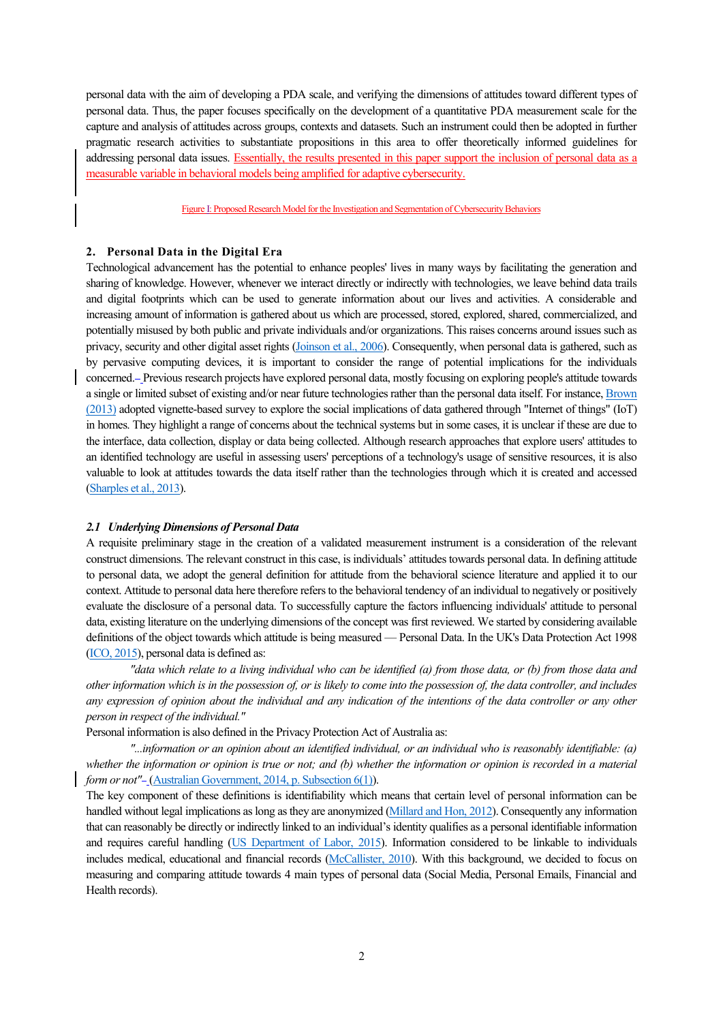personal data with the aim of developing a PDA scale, and verifying the dimensions of attitudes toward different types of personal data. Thus, the paper focuses specifically on the development of a quantitative PDA measurement scale for the capture and analysis of attitudes across groups, contexts and datasets. Such an instrument could then be adopted in further pragmatic research activities to substantiate propositions in this area to offer theoretically informed guidelines for addressing personal data issues. Essentially, the results presented in this paper support the inclusion of personal data as a measurable variable in behavioral models being amplified for adaptive cybersecurity.

<span id="page-1-0"></span>Figure I: Proposed Research Model for the Investigation and Segmentation of Cybersecurity Behaviors

### **2. Personal Data in the Digital Era**

Technological advancement has the potential to enhance peoples' lives in many ways by facilitating the generation and sharing of knowledge. However, whenever we interact directly or indirectly with technologies, we leave behind data trails and digital footprints which can be used to generate information about our lives and activities. A considerable and increasing amount of information is gathered about us which are processed, stored, explored, shared, commercialized, and potentially misused by both public and private individuals and/or organizations. This raises concerns around issues such as privacy, security and other digital asset rights [\(Joinson et al., 2006\)](#page-8-2). Consequently, when personal data is gathered, such as by pervasive computing devices, it is important to consider the range of potential implications for the individuals concerned. Previous research projects have explored personal data, mostly focusing on exploring people's attitude towards a single or limited subset of existing and/or near future technologies rather than the personal data itself. For instance, [Brown](#page-8-3)  (2013) adopted vignette-based survey to explore the social implications of data gathered through "Internet of things" (IoT) in homes. They highlight a range of concerns about the technical systems but in some cases, it is unclear if these are due to the interface, data collection, display or data being collected. Although research approaches that explore users' attitudes to an identified technology are useful in assessing users' perceptions of a technology's usage of sensitive resources, it is also valuable to look at attitudes towards the data itself rather than the technologies through which it is created and accessed [\(Sharples et al., 2013\)](#page-9-3).

### *2.1 Underlying Dimensions of Personal Data*

A requisite preliminary stage in the creation of a validated measurement instrument is a consideration of the relevant construct dimensions. The relevant construct in this case, is individuals' attitudes towards personal data. In defining attitude to personal data, we adopt the general definition for attitude from the behavioral science literature and applied it to our context. Attitude to personal data here therefore refers to the behavioral tendency of an individual to negatively or positively evaluate the disclosure of a personal data. To successfully capture the factors influencing individuals' attitude to personal data, existing literature on the underlying dimensions of the concept was first reviewed. We started by considering available definitions of the object towards which attitude is being measured — Personal Data. In the UK's Data Protection Act 1998 [\(ICO, 2015\)](#page-8-4), personal data is defined as:

*"data which relate to a living individual who can be identified (a) from those data, or (b) from those data and other information which is in the possession of, or is likely to come into the possession of, the data controller, and includes any expression of opinion about the individual and any indication of the intentions of the data controller or any other person in respect of the individual."*

Personal information is also defined in the Privacy Protection Act of Australia as:

*"...information or an opinion about an identified individual, or an individual who is reasonably identifiable: (a) whether the information or opinion is true or not; and (b) whether the information or opinion is recorded in a material form or not"* – [\(Australian Government, 2014, p. Subsection 6\(1\)\)](#page-8-5).

The key component of these definitions is identifiability which means that certain level of personal information can be handled without legal implications as long as they are anonymized [\(Millard and Hon, 2012\)](#page-9-4). Consequently any information that can reasonably be directly or indirectly linked to an individual's identity qualifies as a personal identifiable information and requires careful handling [\(US Department of Labor, 2015\)](#page-9-5). Information considered to be linkable to individuals includes medical, educational and financial records [\(McCallister, 2010\)](#page-9-6). With this background, we decided to focus on measuring and comparing attitude towards 4 main types of personal data (Social Media, Personal Emails, Financial and Health records).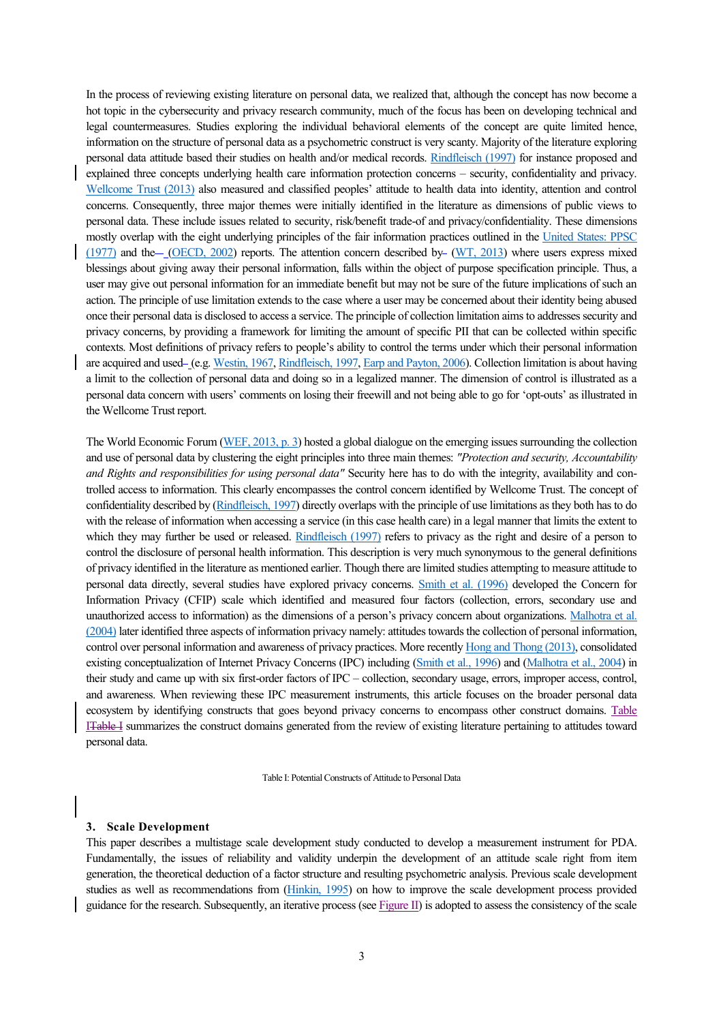In the process of reviewing existing literature on personal data, we realized that, although the concept has now become a hot topic in the cybersecurity and privacy research community, much of the focus has been on developing technical and legal countermeasures. Studies exploring the individual behavioral elements of the concept are quite limited hence, information on the structure of personal data as a psychometric construct is very scanty. Majority of the literature exploring personal data attitude based their studies on health and/or medical records. [Rindfleisch \(1997\)](#page-9-7) for instance proposed and explained three concepts underlying health care information protection concerns – security, confidentiality and privacy. [Wellcome Trust \(2013\)](#page-9-8) also measured and classified peoples' attitude to health data into identity, attention and control concerns. Consequently, three major themes were initially identified in the literature as dimensions of public views to personal data. These include issues related to security, risk/benefit trade-of and privacy/confidentiality. These dimensions mostly overlap with the eight underlying principles of the fair information practices outlined in the [United States: PPSC](#page-9-9)   $(1977)$  and the [\(OECD, 2002\)](#page-9-10) reports. The attention concern described by  $(WT, 2013)$  where users express mixed blessings about giving away their personal information, falls within the object of purpose specification principle. Thus, a user may give out personal information for an immediate benefit but may not be sure of the future implications of such an action. The principle of use limitation extends to the case where a user may be concerned about their identity being abused once their personal data is disclosed to access a service. The principle of collection limitation aims to addresses security and privacy concerns, by providing a framework for limiting the amount of specific PII that can be collected within specific contexts. Most definitions of privacy refers to people's ability to control the terms under which their personal information are acquired and used (e.g[. Westin, 1967,](#page-9-11) [Rindfleisch, 1997,](#page-9-7) [Earp and Payton, 2006\)](#page-8-6). Collection limitation is about having a limit to the collection of personal data and doing so in a legalized manner. The dimension of control is illustrated as a personal data concern with users' comments on losing their freewill and not being able to go for 'opt-outs' as illustrated in the Wellcome Trust report.

The World Economic Forum [\(WEF, 2013, p. 3\)](#page-9-12) hosted a global dialogue on the emerging issues surrounding the collection and use of personal data by clustering the eight principles into three main themes: *"Protection and security, Accountability and Rights and responsibilities for using personal data"* Security here has to do with the integrity, availability and controlled access to information. This clearly encompasses the control concern identified by Wellcome Trust. The concept of confidentiality described by [\(Rindfleisch, 1997\)](#page-9-7) directly overlaps with the principle of use limitations as they both has to do with the release of information when accessing a service (in this case health care) in a legal manner that limits the extent to which they may further be used or released. [Rindfleisch \(1997\)](#page-9-7) refers to privacy as the right and desire of a person to control the disclosure of personal health information. This description is very much synonymous to the general definitions of privacy identified in the literature as mentioned earlier. Though there are limited studies attempting to measure attitude to personal data directly, several studies have explored privacy concerns. [Smith et al. \(1996\)](#page-9-13) developed the Concern for Information Privacy (CFIP) scale which identified and measured four factors (collection, errors, secondary use and unauthorized access to information) as the dimensions of a person's privacy concern about organizations. [Malhotra et al.](#page-9-14)  (2004) later identified three aspects of information privacy namely: attitudes towards the collection of personal information, control over personal information and awareness of privacy practices. More recentl[y Hong and Thong \(2013\),](#page-8-7) consolidated existing conceptualization of Internet Privacy Concerns (IPC) including [\(Smith et al., 1996\)](#page-9-13) and [\(Malhotra et al., 2004\)](#page-9-14) in their study and came up with six first-order factors of IPC – collection, secondary usage, errors, improper access, control, and awareness. When reviewing these IPC measurement instruments, this article focuses on the broader personal data ecosystem by identifying constructs that goes beyond privacy concerns to encompass other construct domains. [Table](#page-2-0)  [ITable I](#page-2-0) summarizes the construct domains generated from the review of existing literature pertaining to attitudes toward personal data.

Table I: Potential Constructs of Attitude to Personal Data

#### <span id="page-2-0"></span>**3. Scale Development**

This paper describes a multistage scale development study conducted to develop a measurement instrument for PDA. Fundamentally, the issues of reliability and validity underpin the development of an attitude scale right from item generation, the theoretical deduction of a factor structure and resulting psychometric analysis. Previous scale development studies as well as recommendations from [\(Hinkin, 1995\)](#page-8-8) on how to improve the scale development process provided guidance for the research. Subsequently, an iterative process (see [Figure II\)](#page-3-0) is adopted to assess the consistency of the scale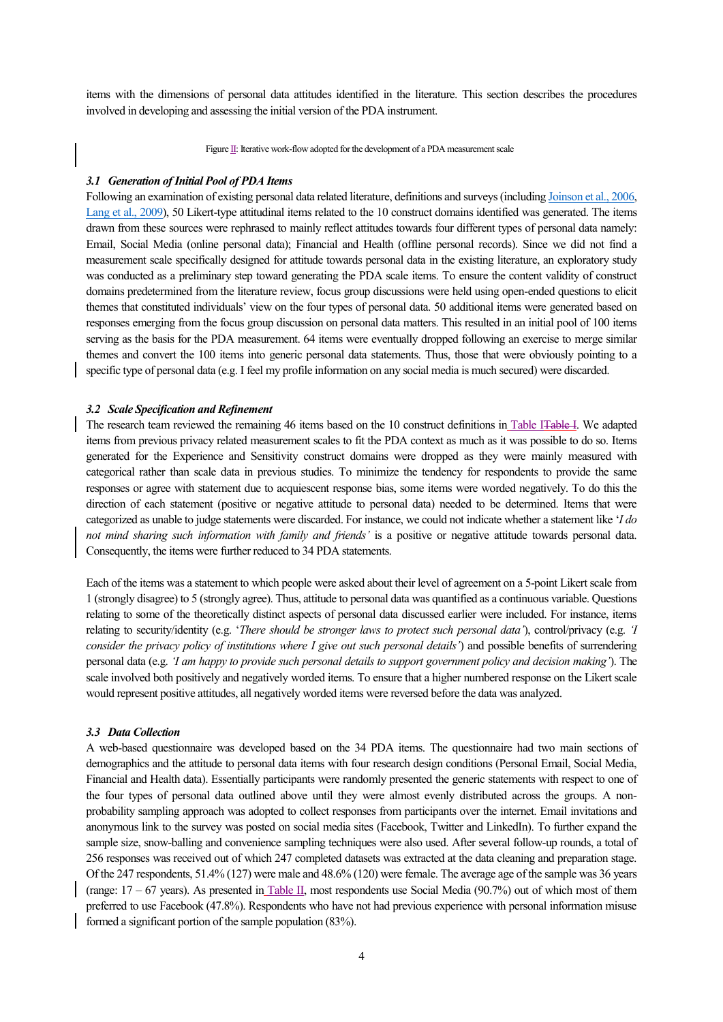items with the dimensions of personal data attitudes identified in the literature. This section describes the procedures involved in developing and assessing the initial version of the PDA instrument.

Figure II: Iterative work-flow adopted for the development of a PDA measurement scale

### <span id="page-3-0"></span>*3.1 Generation of Initial Pool of PDA Items*

Following an examination of existing personal data related literature, definitions and surveys (includin[g Joinson et al., 2006,](#page-8-2) [Lang et al., 2009\)](#page-9-15), 50 Likert-type attitudinal items related to the 10 construct domains identified was generated. The items drawn from these sources were rephrased to mainly reflect attitudes towards four different types of personal data namely: Email, Social Media (online personal data); Financial and Health (offline personal records). Since we did not find a measurement scale specifically designed for attitude towards personal data in the existing literature, an exploratory study was conducted as a preliminary step toward generating the PDA scale items. To ensure the content validity of construct domains predetermined from the literature review, focus group discussions were held using open-ended questions to elicit themes that constituted individuals' view on the four types of personal data. 50 additional items were generated based on responses emerging from the focus group discussion on personal data matters. This resulted in an initial pool of 100 items serving as the basis for the PDA measurement. 64 items were eventually dropped following an exercise to merge similar themes and convert the 100 items into generic personal data statements. Thus, those that were obviously pointing to a specific type of personal data (e.g. I feel my profile information on any social media is much secured) were discarded.

### *3.2 Scale Specification and Refinement*

The research team reviewed the remaining 46 items based on the 10 construct definitions in [Table ITable I.](#page-2-0) We adapted items from previous privacy related measurement scales to fit the PDA context as much as it was possible to do so. Items generated for the Experience and Sensitivity construct domains were dropped as they were mainly measured with categorical rather than scale data in previous studies. To minimize the tendency for respondents to provide the same responses or agree with statement due to acquiescent response bias, some items were worded negatively. To do this the direction of each statement (positive or negative attitude to personal data) needed to be determined. Items that were categorized as unable to judge statements were discarded. For instance, we could not indicate whether a statement like '*I do not mind sharing such information with family and friends'* is a positive or negative attitude towards personal data. Consequently, the items were further reduced to 34 PDA statements.

Each of the items was a statement to which people were asked about their level of agreement on a 5-point Likert scale from 1 (strongly disagree) to 5 (strongly agree). Thus, attitude to personal data was quantified as a continuous variable. Questions relating to some of the theoretically distinct aspects of personal data discussed earlier were included. For instance, items relating to security/identity (e.g. '*There should be stronger laws to protect such personal data'*), control/privacy (e.g. *'I consider the privacy policy of institutions where I give out such personal details'*) and possible benefits of surrendering personal data (e.g. *'I am happy to provide such personal details to support government policy and decision making'*). The scale involved both positively and negatively worded items. To ensure that a higher numbered response on the Likert scale would represent positive attitudes, all negatively worded items were reversed before the data was analyzed.

#### *3.3 Data Collection*

A web-based questionnaire was developed based on the 34 PDA items. The questionnaire had two main sections of demographics and the attitude to personal data items with four research design conditions (Personal Email, Social Media, Financial and Health data). Essentially participants were randomly presented the generic statements with respect to one of the four types of personal data outlined above until they were almost evenly distributed across the groups. A nonprobability sampling approach was adopted to collect responses from participants over the internet. Email invitations and anonymous link to the survey was posted on social media sites (Facebook, Twitter and LinkedIn). To further expand the sample size, snow-balling and convenience sampling techniques were also used. After several follow-up rounds, a total of 256 responses was received out of which 247 completed datasets was extracted at the data cleaning and preparation stage. Of the 247 respondents, 51.4% (127) were male and 48.6% (120) were female. The average age of the sample was 36 years (range: 17 – 67 years). As presented in [Table II,](#page-4-0) most respondents use Social Media (90.7%) out of which most of them preferred to use Facebook (47.8%). Respondents who have not had previous experience with personal information misuse formed a significant portion of the sample population (83%).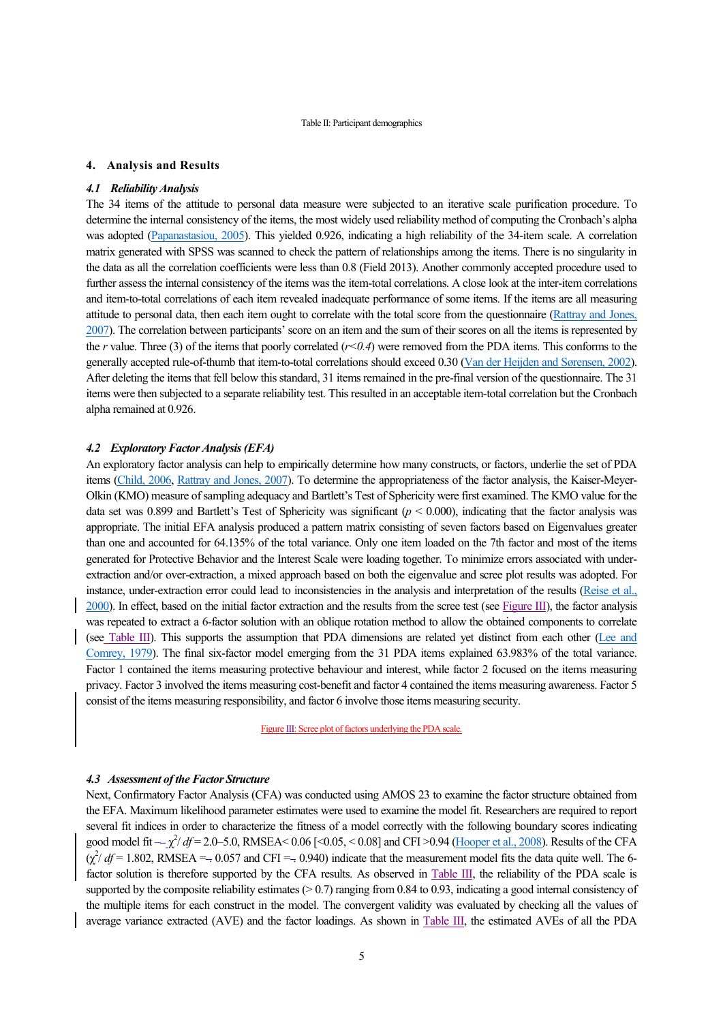Table II: Participant demographics

#### <span id="page-4-0"></span>**4. Analysis and Results**

### *4.1 Reliability Analysis*

The 34 items of the attitude to personal data measure were subjected to an iterative scale purification procedure. To determine the internal consistency of the items, the most widely used reliability method of computing the Cronbach's alpha was adopted [\(Papanastasiou, 2005\)](#page-9-16). This yielded 0.926, indicating a high reliability of the 34-item scale. A correlation matrix generated with SPSS was scanned to check the pattern of relationships among the items. There is no singularity in the data as all the correlation coefficients were less than 0.8 (Field 2013). Another commonly accepted procedure used to further assess the internal consistency of the items was the item-total correlations. A close look at the inter-item correlations and item-to-total correlations of each item revealed inadequate performance of some items. If the items are all measuring attitude to personal data, then each item ought to correlate with the total score from the questionnaire [\(Rattray and Jones,](#page-9-17)  [2007\)](#page-9-17). The correlation between participants' score on an item and the sum of their scores on all the items is represented by the *r* value. Three (3) of the items that poorly correlated ( $r$ <0.4) were removed from the PDA items. This conforms to the generally accepted rule-of-thumb that item-to-total correlations should exceed 0.30 [\(Van der Heijden and Sørensen, 2002\)](#page-9-18). After deleting the items that fell below this standard, 31 items remained in the pre-final version of the questionnaire. The 31 items were then subjected to a separate reliability test. This resulted in an acceptable item-total correlation but the Cronbach alpha remained at 0.926.

### *4.2 Exploratory Factor Analysis(EFA)*

An exploratory factor analysis can help to empirically determine how many constructs, or factors, underlie the set of PDA items [\(Child, 2006,](#page-8-9) [Rattray and Jones, 2007\)](#page-9-17). To determine the appropriateness of the factor analysis, the Kaiser-Meyer-Olkin (KMO) measure of sampling adequacy and Bartlett's Test of Sphericity were first examined. The KMO value for the data set was 0.899 and Bartlett's Test of Sphericity was significant ( $p < 0.000$ ), indicating that the factor analysis was appropriate. The initial EFA analysis produced a pattern matrix consisting of seven factors based on Eigenvalues greater than one and accounted for 64.135% of the total variance. Only one item loaded on the 7th factor and most of the items generated for Protective Behavior and the Interest Scale were loading together. To minimize errors associated with underextraction and/or over-extraction, a mixed approach based on both the eigenvalue and scree plot results was adopted. For instance, under-extraction error could lead to inconsistencies in the analysis and interpretation of the results [\(Reise et al.,](#page-9-19)  [2000\)](#page-9-19). In effect, based on the initial factor extraction and the results from the scree test (see [Figure III\)](#page-4-1), the factor analysis was repeated to extract a 6-factor solution with an oblique rotation method to allow the obtained components to correlate (see [Table III\)](#page-5-0). This supports the assumption that PDA dimensions are related yet distinct from each other [\(Lee and](#page-9-20)  [Comrey, 1979\)](#page-9-20). The final six-factor model emerging from the 31 PDA items explained 63.983% of the total variance. Factor 1 contained the items measuring protective behaviour and interest, while factor 2 focused on the items measuring privacy. Factor 3 involved the items measuring cost-benefit and factor 4 contained the items measuring awareness. Factor 5 consist of the items measuring responsibility, and factor 6 involve those items measuring security.

Figure III: Scree plot of factors underlying the PDA scale.

### <span id="page-4-1"></span>*4.3 Assessment of the Factor Structure*

Next, Confirmatory Factor Analysis (CFA) was conducted using AMOS 23 to examine the factor structure obtained from the EFA. Maximum likelihood parameter estimates were used to examine the model fit. Researchers are required to report several fit indices in order to characterize the fitness of a model correctly with the following boundary scores indicating good model fit —  $\chi^2/df = 2.0 - 5.0$ , RMSEA< 0.06 [<0.05, < 0.08] and CFI > 0.94 [\(Hooper et al., 2008\)](#page-8-10). Results of the CFA  $(\chi^2/df = 1.802, \text{RMSEA} = 0.057 \text{ and CFI} = 0.940)$  indicate that the measurement model fits the data quite well. The 6factor solution is therefore supported by the CFA results. As observed in [Table III,](#page-5-0) the reliability of the PDA scale is supported by the composite reliability estimates  $(0.7)$  ranging from 0.84 to 0.93, indicating a good internal consistency of the multiple items for each construct in the model. The convergent validity was evaluated by checking all the values of average variance extracted (AVE) and the factor loadings. As shown in [Table III,](#page-5-0) the estimated AVEs of all the PDA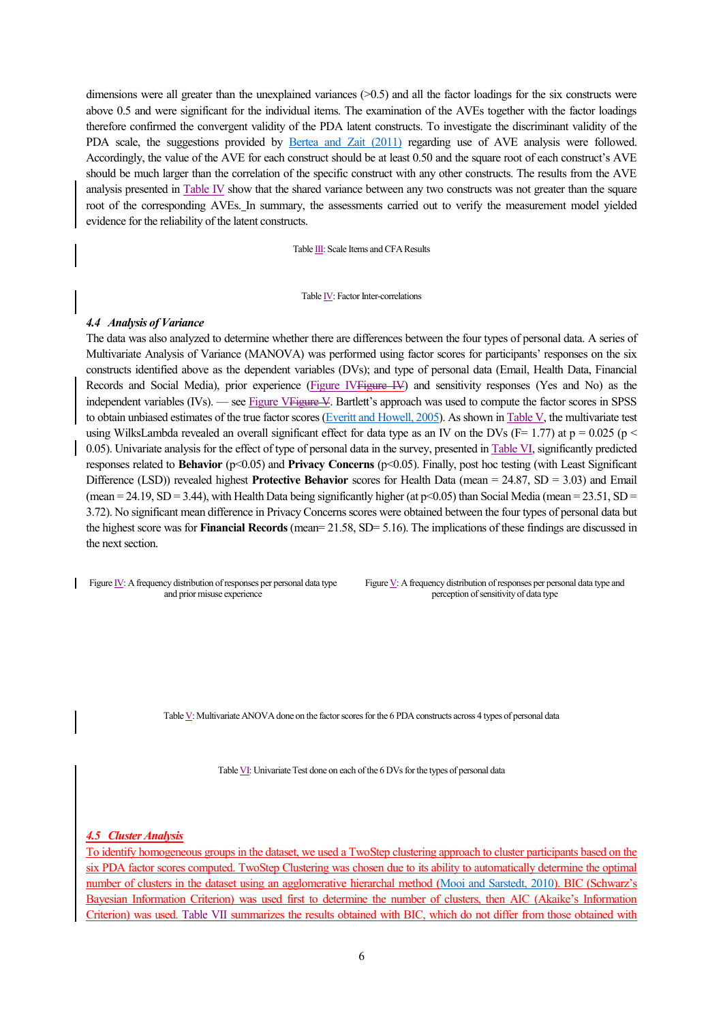dimensions were all greater than the unexplained variances (>0.5) and all the factor loadings for the six constructs were above 0.5 and were significant for the individual items. The examination of the AVEs together with the factor loadings therefore confirmed the convergent validity of the PDA latent constructs. To investigate the discriminant validity of the PDA scale, the suggestions provided by [Bertea and Zait \(2011\)](#page-8-11) regarding use of AVE analysis were followed. Accordingly, the value of the AVE for each construct should be at least 0.50 and the square root of each construct's AVE should be much larger than the correlation of the specific construct with any other constructs. The results from the AVE analysis presented in [Table IV](#page-5-1) show that the shared variance between any two constructs was not greater than the square root of the corresponding AVEs. In summary, the assessments carried out to verify the measurement model yielded evidence for the reliability of the latent constructs.

Table III: Scale Items and CFA Results

#### Table **IV**: Factor Inter-correlations

#### <span id="page-5-1"></span><span id="page-5-0"></span>*4.4 Analysis of Variance*

The data was also analyzed to determine whether there are differences between the four types of personal data. A series of Multivariate Analysis of Variance (MANOVA) was performed using factor scores for participants' responses on the six constructs identified above as the dependent variables (DVs); and type of personal data (Email, Health Data, Financial Records and Social Media), prior experience [\(Figure IVFigure IV\)](#page-5-2) and sensitivity responses (Yes and No) as the independent variables (IVs). — see Figure V<del>Figure V</del>. Bartlett's approach was used to compute the factor scores in SPSS to obtain unbiased estimates of the true factor scores [\(Everitt and Howell, 2005\)](#page-8-12). As shown in [Table V,](#page-5-4) the multivariate test using WilksLambda revealed an overall significant effect for data type as an IV on the DVs ( $F= 1.77$ ) at  $p = 0.025$  ( $p <$ 0.05). Univariate analysis for the effect of type of personal data in the survey, presented in [Table VI,](#page-5-5) significantly predicted responses related to **Behavior** (p<0.05) and **Privacy Concerns** (p<0.05). Finally, post hoc testing (with Least Significant Difference (LSD)) revealed highest **Protective Behavior** scores for Health Data (mean = 24.87, SD = 3.03) and Email (mean = 24.19, SD = 3.44), with Health Data being significantly higher (at  $p<0.05$ ) than Social Media (mean = 23.51, SD = 3.72). No significant mean difference in Privacy Concerns scores were obtained between the four types of personal data but the highest score was for **Financial Records** (mean= 21.58, SD= 5.16). The implications of these findings are discussed in the next section.

<span id="page-5-2"></span>Figure IV: A frequency distribution of responses per personal data type and prior misuse experience

<span id="page-5-3"></span>Figure V: A frequency distribution of responses per personal data type and perception of sensitivity of data type

<span id="page-5-4"></span>Table V: Multivariate ANOVA done on the factor scores for the 6 PDA constructs across 4 types of personal data

Table VI: Univariate Test done on each of the 6 DVs for the types of personal data

#### <span id="page-5-5"></span>*4.5 Cluster Analysis*

To identify homogeneous groups in the dataset, we used a TwoStep clustering approach to cluster participants based on the six PDA factor scores computed. TwoStep Clustering was chosen due to its ability to automatically determine the optimal number of clusters in the dataset using an agglomerative hierarchal method [\(Mooi and Sarstedt, 2010\)](#page-9-21). BIC (Schwarz's Bayesian Information Criterion) was used first to determine the number of clusters, then AIC (Akaike's Information Criterion) was used. [Table VII](#page-6-0) summarizes the results obtained with BIC, which do not differ from those obtained with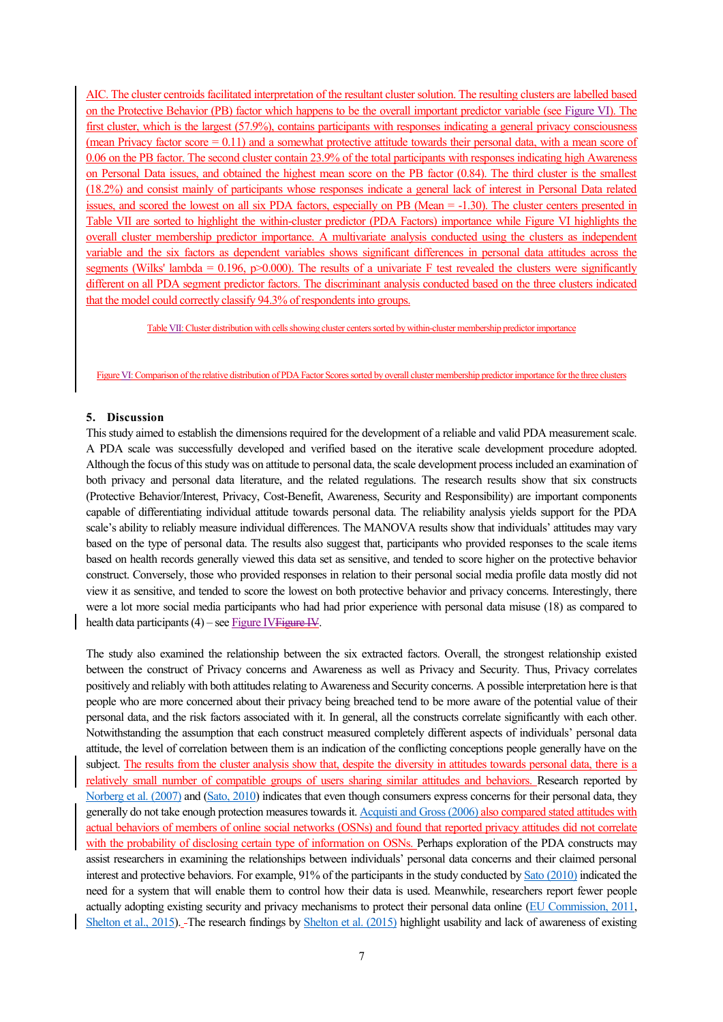AIC. The cluster centroids facilitated interpretation of the resultant cluster solution. The resulting clusters are labelled based on the Protective Behavior (PB) factor which happens to be the overall important predictor variable (see [Figure VI\)](#page-6-1). The first cluster, which is the largest (57.9%), contains participants with responses indicating a general privacy consciousness (mean Privacy factor score  $= 0.11$ ) and a somewhat protective attitude towards their personal data, with a mean score of 0.06 on the PB factor. The second cluster contain 23.9% of the total participants with responses indicating high Awareness on Personal Data issues, and obtained the highest mean score on the PB factor (0.84). The third cluster is the smallest (18.2%) and consist mainly of participants whose responses indicate a general lack of interest in Personal Data related issues, and scored the lowest on all six PDA factors, especially on PB (Mean = -1.30). The cluster centers presented in Table VII are sorted to highlight the within-cluster predictor (PDA Factors) importance while Figure VI highlights the overall cluster membership predictor importance. A multivariate analysis conducted using the clusters as independent variable and the six factors as dependent variables shows significant differences in personal data attitudes across the segments (Wilks' lambda =  $0.196$ , p $>0.000$ ). The results of a univariate F test revealed the clusters were significantly different on all PDA segment predictor factors. The discriminant analysis conducted based on the three clusters indicated that the model could correctly classify 94.3% of respondents into groups.

Table VII: Cluster distribution with cells showing cluster centerssorted by within-cluster membership predictor importance

<span id="page-6-1"></span><span id="page-6-0"></span>Figure VI:Comparison of the relative distribution of PDA Factor Scores sorted by overall cluster membership predictor importance for the three clusters

# **5. Discussion**

This study aimed to establish the dimensions required for the development of a reliable and valid PDA measurement scale. A PDA scale was successfully developed and verified based on the iterative scale development procedure adopted. Although the focus of this study was on attitude to personal data, the scale development process included an examination of both privacy and personal data literature, and the related regulations. The research results show that six constructs (Protective Behavior/Interest, Privacy, Cost-Benefit, Awareness, Security and Responsibility) are important components capable of differentiating individual attitude towards personal data. The reliability analysis yields support for the PDA scale's ability to reliably measure individual differences. The MANOVA results show that individuals' attitudes may vary based on the type of personal data. The results also suggest that, participants who provided responses to the scale items based on health records generally viewed this data set as sensitive, and tended to score higher on the protective behavior construct. Conversely, those who provided responses in relation to their personal social media profile data mostly did not view it as sensitive, and tended to score the lowest on both protective behavior and privacy concerns. Interestingly, there were a lot more social media participants who had had prior experience with personal data misuse (18) as compared to health data participants  $(4)$  – see Figure IV Figure IV.

The study also examined the relationship between the six extracted factors. Overall, the strongest relationship existed between the construct of Privacy concerns and Awareness as well as Privacy and Security. Thus, Privacy correlates positively and reliably with both attitudes relating to Awareness and Security concerns. A possible interpretation here is that people who are more concerned about their privacy being breached tend to be more aware of the potential value of their personal data, and the risk factors associated with it. In general, all the constructs correlate significantly with each other. Notwithstanding the assumption that each construct measured completely different aspects of individuals' personal data attitude, the level of correlation between them is an indication of the conflicting conceptions people generally have on the subject. The results from the cluster analysis show that, despite the diversity in attitudes towards personal data, there is a relatively small number of compatible groups of users sharing similar attitudes and behaviors. Research reported by [Norberg et al. \(2007\)](#page-9-22) and [\(Sato, 2010\)](#page-9-23) indicates that even though consumers express concerns for their personal data, they generally do not take enough protection measures towards it[. Acquisti and Gross \(2006\)](#page-8-13) also compared stated attitudes with actual behaviors of members of online social networks (OSNs) and found that reported privacy attitudes did not correlate with the probability of disclosing certain type of information on OSNs. Perhaps exploration of the PDA constructs may assist researchers in examining the relationships between individuals' personal data concerns and their claimed personal interest and protective behaviors. For example, 91% of the participants in the study conducted b[y Sato \(2010\)](#page-9-23) indicated the need for a system that will enable them to control how their data is used. Meanwhile, researchers report fewer people actually adopting existing security and privacy mechanisms to protect their personal data online [\(EU Commission, 2011,](#page-8-14) [Shelton et al., 2015\)](#page-9-24). The research findings by [Shelton et al. \(2015\)](#page-9-24) highlight usability and lack of awareness of existing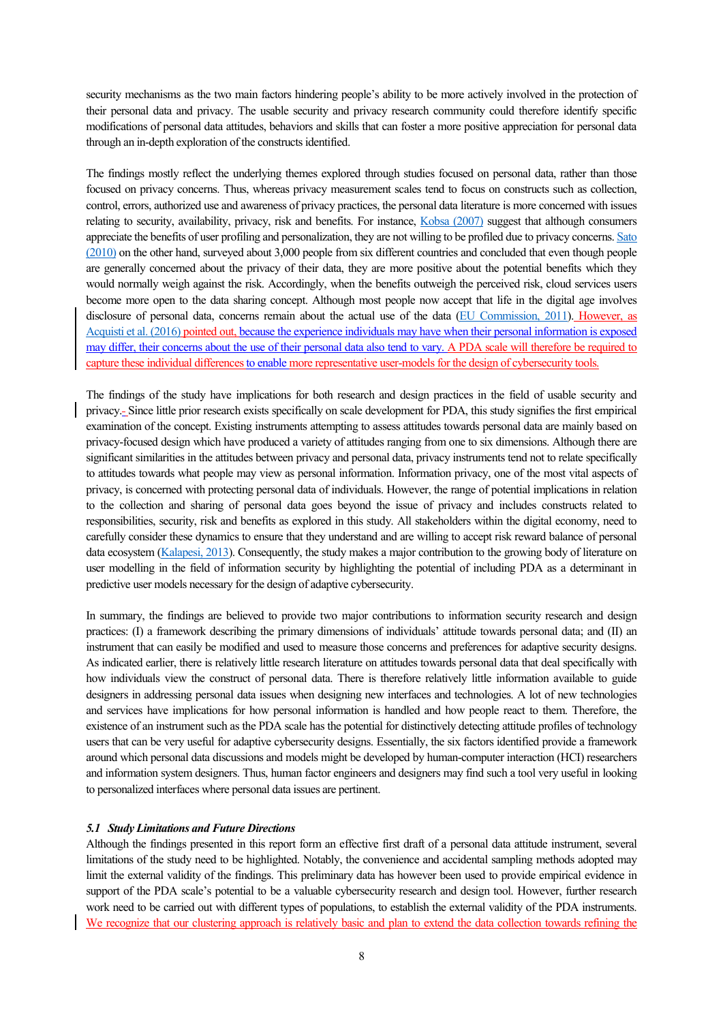security mechanisms as the two main factors hindering people's ability to be more actively involved in the protection of their personal data and privacy. The usable security and privacy research community could therefore identify specific modifications of personal data attitudes, behaviors and skills that can foster a more positive appreciation for personal data through an in-depth exploration of the constructs identified.

The findings mostly reflect the underlying themes explored through studies focused on personal data, rather than those focused on privacy concerns. Thus, whereas privacy measurement scales tend to focus on constructs such as collection, control, errors, authorized use and awareness of privacy practices, the personal data literature is more concerned with issues relating to security, availability, privacy, risk and benefits. For instance, [Kobsa \(2007\)](#page-8-15) suggest that although consumers appreciate the benefits of user profiling and personalization, they are not willing to be profiled due to privacy concerns. [Sato](#page-9-23)  (2010) on the other hand, surveyed about 3,000 people from six different countries and concluded that even though people are generally concerned about the privacy of their data, they are more positive about the potential benefits which they would normally weigh against the risk. Accordingly, when the benefits outweigh the perceived risk, cloud services users become more open to the data sharing concept. Although most people now accept that life in the digital age involves disclosure of personal data, concerns remain about the actual use of the data [\(EU Commission, 2011\)](#page-8-14). However, as [Acquisti et al. \(2016\)](#page-8-16) pointed out, because the experience individuals may have when their personal information is exposed may differ, their concerns about the use of their personal data also tend to vary. A PDA scale will therefore be required to capture these individual differences to enable more representative user-models for the design of cybersecurity tools.

The findings of the study have implications for both research and design practices in the field of usable security and privacy. Since little prior research exists specifically on scale development for PDA, this study signifies the first empirical examination of the concept. Existing instruments attempting to assess attitudes towards personal data are mainly based on privacy-focused design which have produced a variety of attitudes ranging from one to six dimensions. Although there are significant similarities in the attitudes between privacy and personal data, privacy instruments tend not to relate specifically to attitudes towards what people may view as personal information. Information privacy, one of the most vital aspects of privacy, is concerned with protecting personal data of individuals. However, the range of potential implications in relation to the collection and sharing of personal data goes beyond the issue of privacy and includes constructs related to responsibilities, security, risk and benefits as explored in this study. All stakeholders within the digital economy, need to carefully consider these dynamics to ensure that they understand and are willing to accept risk reward balance of personal data ecosystem [\(Kalapesi, 2013\)](#page-8-17). Consequently, the study makes a major contribution to the growing body of literature on user modelling in the field of information security by highlighting the potential of including PDA as a determinant in predictive user models necessary for the design of adaptive cybersecurity.

In summary, the findings are believed to provide two major contributions to information security research and design practices: (I) a framework describing the primary dimensions of individuals' attitude towards personal data; and (II) an instrument that can easily be modified and used to measure those concerns and preferences for adaptive security designs. As indicated earlier, there is relatively little research literature on attitudes towards personal data that deal specifically with how individuals view the construct of personal data. There is therefore relatively little information available to guide designers in addressing personal data issues when designing new interfaces and technologies. A lot of new technologies and services have implications for how personal information is handled and how people react to them. Therefore, the existence of an instrument such as the PDA scale has the potential for distinctively detecting attitude profiles of technology users that can be very useful for adaptive cybersecurity designs. Essentially, the six factors identified provide a framework around which personal data discussions and models might be developed by human-computer interaction (HCI) researchers and information system designers. Thus, human factor engineers and designers may find such a tool very useful in looking to personalized interfaces where personal data issues are pertinent.

# *5.1 Study Limitations and Future Directions*

Although the findings presented in this report form an effective first draft of a personal data attitude instrument, several limitations of the study need to be highlighted. Notably, the convenience and accidental sampling methods adopted may limit the external validity of the findings. This preliminary data has however been used to provide empirical evidence in support of the PDA scale's potential to be a valuable cybersecurity research and design tool. However, further research work need to be carried out with different types of populations, to establish the external validity of the PDA instruments. We recognize that our clustering approach is relatively basic and plan to extend the data collection towards refining the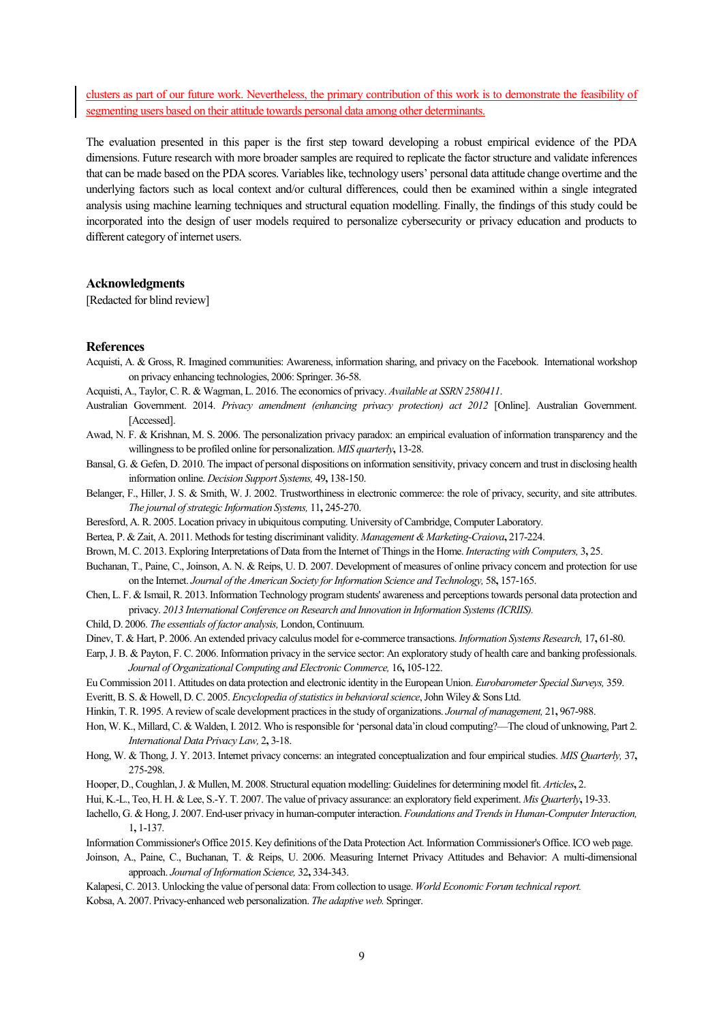clusters as part of our future work. Nevertheless, the primary contribution of this work is to demonstrate the feasibility of segmenting users based on their attitude towards personal data among other determinants.

The evaluation presented in this paper is the first step toward developing a robust empirical evidence of the PDA dimensions. Future research with more broader samples are required to replicate the factor structure and validate inferences that can be made based on the PDA scores. Variables like, technology users' personal data attitude change overtime and the underlying factors such as local context and/or cultural differences, could then be examined within a single integrated analysis using machine learning techniques and structural equation modelling. Finally, the findings of this study could be incorporated into the design of user models required to personalize cybersecurity or privacy education and products to different category of internet users.

# **Acknowledgments**

[Redacted for blind review]

### **References**

- <span id="page-8-13"></span>Acquisti, A. & Gross, R. Imagined communities: Awareness, information sharing, and privacy on the Facebook. International workshop on privacy enhancing technologies, 2006: Springer. 36-58.
- <span id="page-8-16"></span>Acquisti, A., Taylor, C. R. & Wagman, L. 2016. The economics of privacy. *Available at SSRN 2580411*.
- <span id="page-8-5"></span>Australian Government. 2014. *Privacy amendment (enhancing privacy protection) act 2012* [Online]. Australian Government. [Accessed].
- Awad, N. F. & Krishnan, M. S. 2006. The personalization privacy paradox: an empirical evaluation of information transparency and the willingness to be profiled online for personalization. *MIS quarterly***,** 13-28.
- Bansal, G. & Gefen, D. 2010. The impact of personal dispositions on information sensitivity, privacy concern and trust in disclosing health information online. *Decision Support Systems,* 49**,** 138-150.
- Belanger, F., Hiller, J. S. & Smith, W. J. 2002. Trustworthiness in electronic commerce: the role of privacy, security, and site attributes. *The journal of strategic Information Systems,* 11**,** 245-270.
- <span id="page-8-0"></span>Beresford, A. R. 2005. Location privacy in ubiquitous computing. University of Cambridge, Computer Laboratory.
- <span id="page-8-11"></span>Bertea, P. & Zait, A. 2011. Methods for testing discriminant validity. *Management & Marketing-Craiova***,** 217-224.
- <span id="page-8-3"></span>Brown, M. C. 2013. Exploring Interpretations of Data from the Internet of Things in the Home. *Interacting with Computers,* 3**,** 25.
- Buchanan, T., Paine, C., Joinson, A. N. & Reips, U. D. 2007. Development of measures of online privacy concern and protection for use on the Internet. *Journal of the American Society for Information Science and Technology,* 58**,** 157-165.
- Chen, L. F. & Ismail, R. 2013. Information Technology program students' awareness and perceptions towards personal data protection and privacy. *2013 International Conference on Research and Innovation in Information Systems (ICRIIS).*
- <span id="page-8-9"></span>Child, D. 2006. *The essentials of factor analysis,* London, Continuum.
- Dinev, T. & Hart, P. 2006. An extended privacy calculus model for e-commerce transactions. *Information Systems Research,* 17**,** 61-80.
- <span id="page-8-6"></span>Earp, J. B. & Payton, F. C. 2006. Information privacy in the service sector: An exploratory study of health care and banking professionals. *Journal of Organizational Computing and Electronic Commerce,* 16**,** 105-122.
- <span id="page-8-14"></span><span id="page-8-12"></span>Eu Commission 2011. Attitudes on data protection and electronic identity in the European Union. *Eurobarometer Special Surveys,* 359. Everitt, B. S. & Howell, D. C. 2005. *Encyclopedia of statistics in behavioral science*, John Wiley & Sons Ltd.
- <span id="page-8-8"></span>Hinkin, T. R. 1995. A review of scale development practices in the study of organizations. *Journal of management,* 21**,** 967-988.
- Hon, W. K., Millard, C. & Walden, I. 2012. Who is responsible for 'personal data'in cloud computing?—The cloud of unknowing, Part 2. *International Data Privacy Law,* 2**,** 3-18.
- <span id="page-8-7"></span>Hong, W. & Thong, J. Y. 2013. Internet privacy concerns: an integrated conceptualization and four empirical studies. *MIS Quarterly,* 37**,** 275-298.
- <span id="page-8-10"></span>Hooper, D., Coughlan, J. & Mullen, M. 2008. Structural equation modelling: Guidelines for determining model fit. *Articles***,** 2.
- Hui, K.-L., Teo, H. H. & Lee, S.-Y. T. 2007. The value of privacy assurance: an exploratory field experiment. *Mis Quarterly***,** 19-33.
- <span id="page-8-1"></span>Iachello, G. & Hong, J. 2007. End-user privacy in human-computer interaction. *Foundations and Trends in Human-Computer Interaction,* 1**,** 1-137.
- <span id="page-8-4"></span>Information Commissioner's Office 2015. Key definitions of the Data Protection Act. Information Commissioner's Office. ICO web page.
- <span id="page-8-2"></span>Joinson, A., Paine, C., Buchanan, T. & Reips, U. 2006. Measuring Internet Privacy Attitudes and Behavior: A multi-dimensional approach. *Journal of Information Science,* 32**,** 334-343.
- <span id="page-8-17"></span>Kalapesi, C. 2013. Unlocking the value of personal data: From collection to usage. *World Economic Forum technical report.*
- <span id="page-8-15"></span>Kobsa, A. 2007. Privacy-enhanced web personalization. *The adaptive web.* Springer.